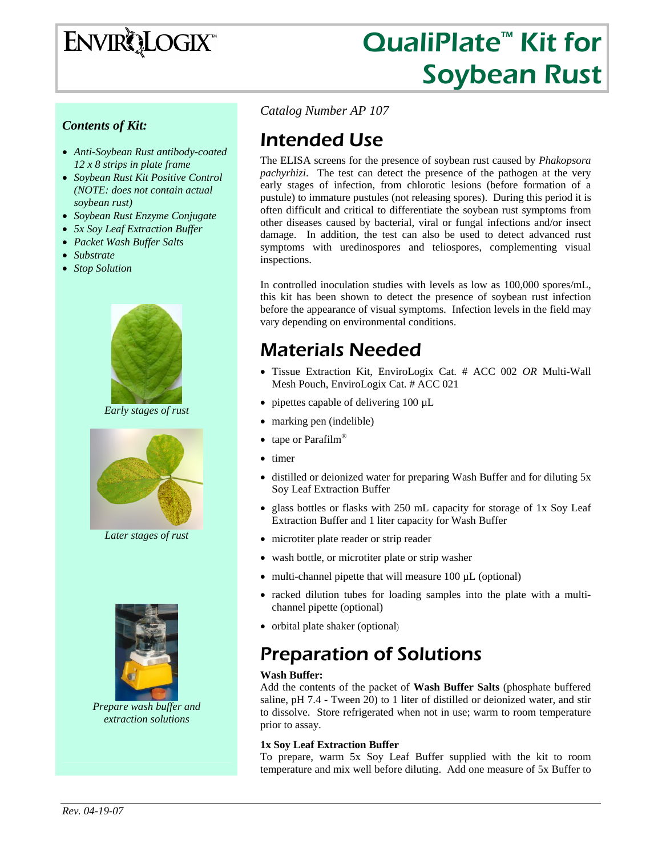# **ENVIRQLOGIX**

# QualiPlate<sup>™</sup> Kit for Soybean Rust

### *Contents of Kit:*

- *Anti-Soybean Rust antibody-coated 12 x 8 strips in plate frame*
- *Soybean Rust Kit Positive Control (NOTE: does not contain actual soybean rust)*
- *Soybean Rust Enzyme Conjugate*
- *5x Soy Leaf Extraction Buffer*
- *Packet Wash Buffer Salts*
- *Substrate*
- *Stop Solution*



*Early stages of rust* 



*Later stages of rust* 



*Prepare wash buffer and extraction solutions* 

*Catalog Number AP 107* 

# Intended Use

The ELISA screens for the presence of soybean rust caused by *Phakopsora pachyrhizi*. The test can detect the presence of the pathogen at the very early stages of infection, from chlorotic lesions (before formation of a pustule) to immature pustules (not releasing spores). During this period it is often difficult and critical to differentiate the soybean rust symptoms from other diseases caused by bacterial, viral or fungal infections and/or insect damage. In addition, the test can also be used to detect advanced rust symptoms with uredinospores and teliospores, complementing visual inspections.

In controlled inoculation studies with levels as low as 100,000 spores/mL, this kit has been shown to detect the presence of soybean rust infection before the appearance of visual symptoms. Infection levels in the field may vary depending on environmental conditions.

# Materials Needed

- Tissue Extraction Kit, EnviroLogix Cat. # ACC 002 *OR* Multi-Wall Mesh Pouch, EnviroLogix Cat. # ACC 021
- pipettes capable of delivering 100 µL
- marking pen (indelible)
- tape or Parafilm®
- timer
- distilled or deionized water for preparing Wash Buffer and for diluting 5x Soy Leaf Extraction Buffer
- glass bottles or flasks with 250 mL capacity for storage of 1x Soy Leaf Extraction Buffer and 1 liter capacity for Wash Buffer
- microtiter plate reader or strip reader
- wash bottle, or microtiter plate or strip washer
- multi-channel pipette that will measure 100 µL (optional)
- racked dilution tubes for loading samples into the plate with a multichannel pipette (optional)
- orbital plate shaker (optional)

# Preparation of Solutions

#### **Wash Buffer:**

Add the contents of the packet of **Wash Buffer Salts** (phosphate buffered saline, pH 7.4 - Tween 20) to 1 liter of distilled or deionized water, and stir to dissolve. Store refrigerated when not in use; warm to room temperature prior to assay.

#### **1x Soy Leaf Extraction Buffer**

To prepare, warm 5x Soy Leaf Buffer supplied with the kit to room temperature and mix well before diluting. Add one measure of 5x Buffer to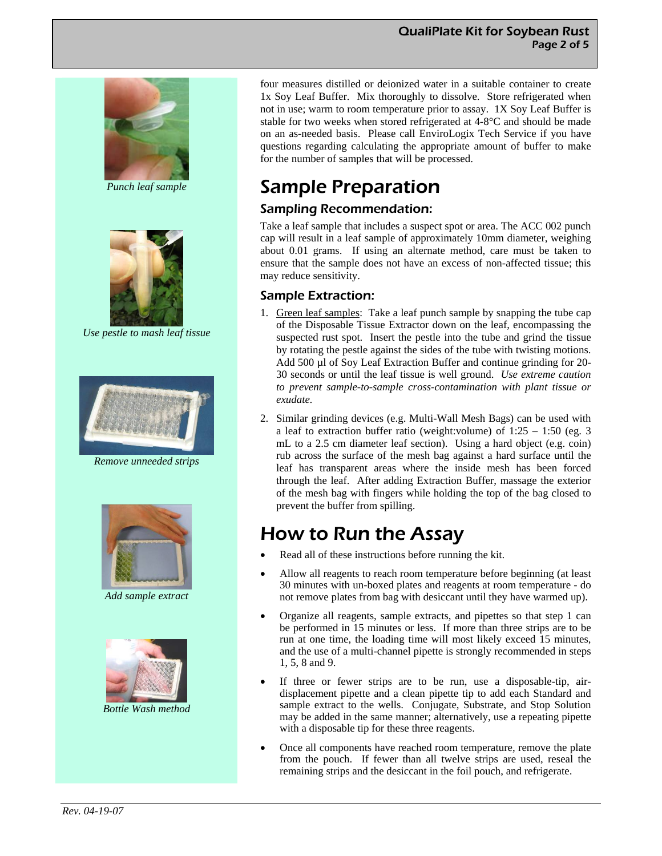#### QualiPlate Kit for Soybean Rust Page 2 of 5



*Punch leaf sample* 



*Use pestle to mash leaf tissue* 



*Remove unneeded strips* 



*Add sample extract* 



*Bottle Wash method* 

four measures distilled or deionized water in a suitable container to create 1x Soy Leaf Buffer. Mix thoroughly to dissolve. Store refrigerated when not in use; warm to room temperature prior to assay. 1X Soy Leaf Buffer is stable for two weeks when stored refrigerated at 4-8°C and should be made on an as-needed basis. Please call EnviroLogix Tech Service if you have questions regarding calculating the appropriate amount of buffer to make for the number of samples that will be processed.

# Sample Preparation

### Sampling Recommendation:

Take a leaf sample that includes a suspect spot or area. The ACC 002 punch cap will result in a leaf sample of approximately 10mm diameter, weighing about 0.01 grams. If using an alternate method, care must be taken to ensure that the sample does not have an excess of non-affected tissue; this may reduce sensitivity.

#### Sample Extraction:

- 1. Green leaf samples: Take a leaf punch sample by snapping the tube cap of the Disposable Tissue Extractor down on the leaf, encompassing the suspected rust spot. Insert the pestle into the tube and grind the tissue by rotating the pestle against the sides of the tube with twisting motions. Add 500 µl of Soy Leaf Extraction Buffer and continue grinding for 20- 30 seconds or until the leaf tissue is well ground. *Use extreme caution to prevent sample-to-sample cross-contamination with plant tissue or exudate.*
- 2. Similar grinding devices (e.g. Multi-Wall Mesh Bags) can be used with a leaf to extraction buffer ratio (weight:volume) of 1:25 – 1:50 (eg. 3 mL to a 2.5 cm diameter leaf section). Using a hard object (e.g. coin) rub across the surface of the mesh bag against a hard surface until the leaf has transparent areas where the inside mesh has been forced through the leaf. After adding Extraction Buffer, massage the exterior of the mesh bag with fingers while holding the top of the bag closed to prevent the buffer from spilling.

## How to Run the Assay

- Read all of these instructions before running the kit.
- Allow all reagents to reach room temperature before beginning (at least 30 minutes with un-boxed plates and reagents at room temperature - do not remove plates from bag with desiccant until they have warmed up).
- Organize all reagents, sample extracts, and pipettes so that step 1 can be performed in 15 minutes or less. If more than three strips are to be run at one time, the loading time will most likely exceed 15 minutes, and the use of a multi-channel pipette is strongly recommended in steps 1, 5, 8 and 9.
- If three or fewer strips are to be run, use a disposable-tip, airdisplacement pipette and a clean pipette tip to add each Standard and sample extract to the wells. Conjugate, Substrate, and Stop Solution may be added in the same manner; alternatively, use a repeating pipette with a disposable tip for these three reagents.
- Once all components have reached room temperature, remove the plate from the pouch. If fewer than all twelve strips are used, reseal the remaining strips and the desiccant in the foil pouch, and refrigerate.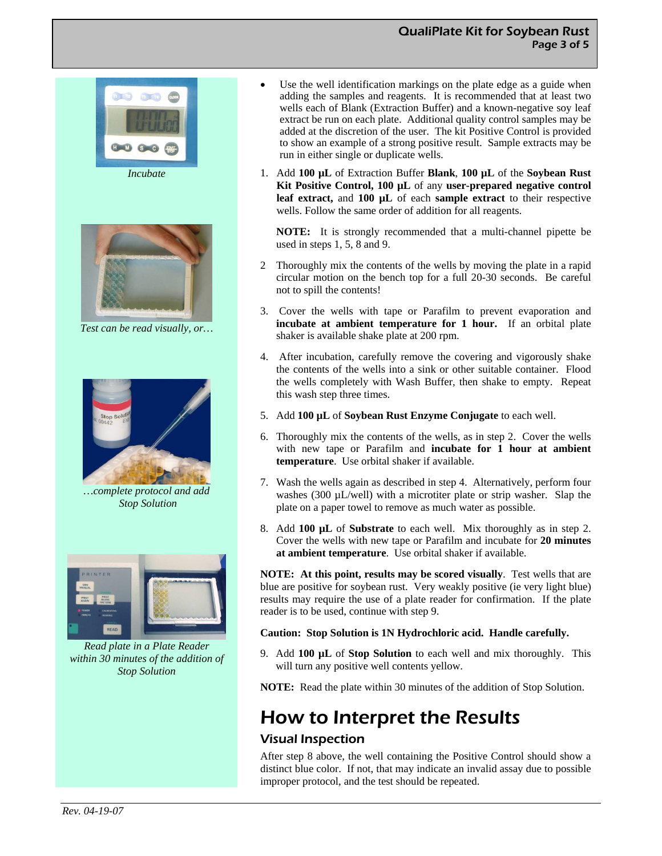#### QualiPlate Kit for Soybean Rust Page 3 of 5



*Incubate* 



*Test can be read visually, or…* 



*…complete protocol and add Stop Solution* 



*Read plate in a Plate Reader within 30 minutes of the addition of Stop Solution* 

- Use the well identification markings on the plate edge as a guide when adding the samples and reagents. It is recommended that at least two wells each of Blank (Extraction Buffer) and a known-negative soy leaf extract be run on each plate. Additional quality control samples may be added at the discretion of the user. The kit Positive Control is provided to show an example of a strong positive result. Sample extracts may be run in either single or duplicate wells.
- 1. Add **100 µL** of Extraction Buffer **Blank**, **100 µL** of the **Soybean Rust Kit Positive Control, 100 µL** of any **user-prepared negative control leaf extract,** and **100 µL** of each **sample extract** to their respective wells. Follow the same order of addition for all reagents.

 **NOTE:** It is strongly recommended that a multi-channel pipette be used in steps 1, 5, 8 and 9.

- 2 Thoroughly mix the contents of the wells by moving the plate in a rapid circular motion on the bench top for a full 20-30 seconds. Be careful not to spill the contents!
- 3. Cover the wells with tape or Parafilm to prevent evaporation and **incubate at ambient temperature for 1 hour.** If an orbital plate shaker is available shake plate at 200 rpm.
- 4. After incubation, carefully remove the covering and vigorously shake the contents of the wells into a sink or other suitable container. Flood the wells completely with Wash Buffer, then shake to empty. Repeat this wash step three times.
- 5. Add **100 µL** of **Soybean Rust Enzyme Conjugate** to each well.
- 6. Thoroughly mix the contents of the wells, as in step 2. Cover the wells with new tape or Parafilm and **incubate for 1 hour at ambient temperature**. Use orbital shaker if available.
- 7. Wash the wells again as described in step 4. Alternatively, perform four washes  $(300 \mu L/well)$  with a microtiter plate or strip washer. Slap the plate on a paper towel to remove as much water as possible.
- 8. Add **100 µL** of **Substrate** to each well. Mix thoroughly as in step 2. Cover the wells with new tape or Parafilm and incubate for **20 minutes at ambient temperature**. Use orbital shaker if available.

**NOTE: At this point, results may be scored visually**. Test wells that are blue are positive for soybean rust. Very weakly positive (ie very light blue) results may require the use of a plate reader for confirmation. If the plate reader is to be used, continue with step 9.

#### **Caution: Stop Solution is 1N Hydrochloric acid. Handle carefully.**

9. Add **100 µL** of **Stop Solution** to each well and mix thoroughly. This will turn any positive well contents yellow.

**NOTE:** Read the plate within 30 minutes of the addition of Stop Solution.

# How to Interpret the Results

### Visual Inspection

After step 8 above, the well containing the Positive Control should show a distinct blue color. If not, that may indicate an invalid assay due to possible improper protocol, and the test should be repeated.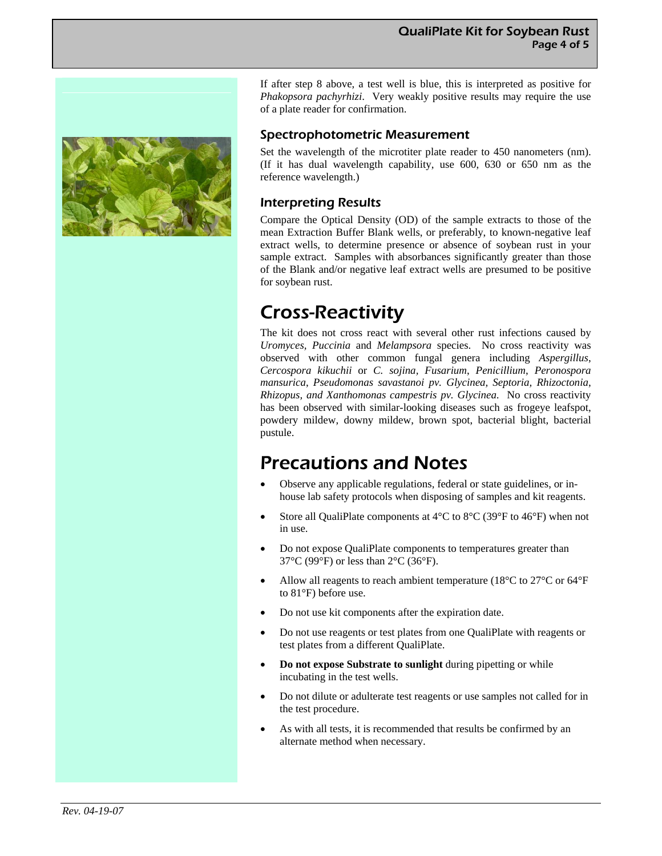#### QualiPlate Kit for Soybean Rust Page 4 of 5



If after step 8 above, a test well is blue, this is interpreted as positive for *Phakopsora pachyrhizi*. Very weakly positive results may require the use of a plate reader for confirmation.

#### Spectrophotometric Measurement

Set the wavelength of the microtiter plate reader to 450 nanometers (nm). (If it has dual wavelength capability, use 600, 630 or 650 nm as the reference wavelength.)

### Interpreting Results

Compare the Optical Density (OD) of the sample extracts to those of the mean Extraction Buffer Blank wells, or preferably, to known-negative leaf extract wells, to determine presence or absence of soybean rust in your sample extract. Samples with absorbances significantly greater than those of the Blank and/or negative leaf extract wells are presumed to be positive for soybean rust.

### Cross-Reactivity

The kit does not cross react with several other rust infections caused by *Uromyces, Puccinia* and *Melampsora* species. No cross reactivity was observed with other common fungal genera including *Aspergillus*, *Cercospora kikuchii* or *C. sojina, Fusarium*, *Penicillium*, *Peronospora mansurica*, *Pseudomonas savastanoi pv. Glycinea, Septoria, Rhizoctonia*, *Rhizopus, and Xanthomonas campestris pv. Glycinea*. No cross reactivity has been observed with similar-looking diseases such as frogeye leafspot, powdery mildew, downy mildew, brown spot, bacterial blight, bacterial pustule.

### Precautions and Notes

- Observe any applicable regulations, federal or state guidelines, or inhouse lab safety protocols when disposing of samples and kit reagents.
- Store all QualiPlate components at  $4^{\circ}$ C to  $8^{\circ}$ C (39 $^{\circ}$ F to  $46^{\circ}$ F) when not in use.
- Do not expose QualiPlate components to temperatures greater than 37°C (99°F) or less than 2°C (36°F).
- Allow all reagents to reach ambient temperature (18°C to 27°C or 64°F to 81°F) before use.
- Do not use kit components after the expiration date.
- Do not use reagents or test plates from one QualiPlate with reagents or test plates from a different QualiPlate.
- **Do not expose Substrate to sunlight** during pipetting or while incubating in the test wells.
- Do not dilute or adulterate test reagents or use samples not called for in the test procedure.
- As with all tests, it is recommended that results be confirmed by an alternate method when necessary.